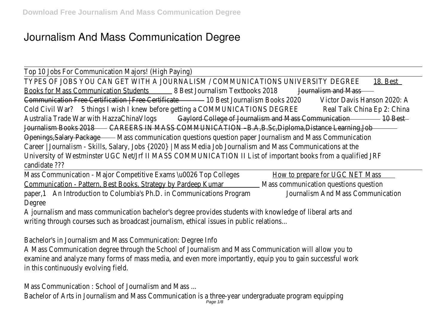## **Journalism And Mass Communication Degree**

Top 10 Jobs For Communication Majors! (High Paying) TYPES OF JOBS YOU CAN GET WITH A JOURNALISM / COMMUNICATIONS UNIVERSITY DEGREEBest Books for Mass Communication Student Best Journalism Textbooks 2048 Fraalism and Mass Communication Free Certification | Free CertiflicaBest Journalism Books 2020 Ctor Davis Hanson 2020: A Cold Civil War<sup>75</sup> things I wish I knew before getting a COMMUNICATIONS DREARE Falk China Ep 2: China Australia Trade War with HazzaChinaVl<del>@gylord College of Journalism and Mass Communicat@rBes</del>t Journalism Books 2018AREERS IN MASS COMMUNICATION - B.A, B.Sc, Diploma, Distance Learning, Jo Openings, Salary Package Mass communication questions question paper Journalism and Mass Communication Career | Journalism - Skills, Salary, Jobs {2020} | Mass Media Job Journalism and Mass Communications at University of Westminster UGC Net/Jrf II MASS COMMUNICATION II List of important books from a qualific candidate ???

Mass Communication - Major Competitive Exams \u0026 Top **Bolledes** prepare for UGC NET Mass Communication - Pattern, Best Books, Strategy by Pardeep Massurommunication questions question paper,1An Introduction to Columbia's Ph.D. in Communications Prodoran alism And Mass Communication Degree

A journalism and mass communication bachelor's degree provides students with knowledge of liberal arts and writing through courses such as broadcast journalism, ethical issues in public relations.

Bachelor's in Journalism and Mass Communication: Degree Info

A Mass Communication degree through the School of Journalism and Mass Communication will allow you examine and analyze many forms of mass media, and even more importantly, equip you to gain successful in this continuously evolving field.

Mass Communication : School of Journalism and Mass ...

Bachelor of Arts in Journalism and Mass Communication is a three-year undergraduate program equippir<br>Page 1/8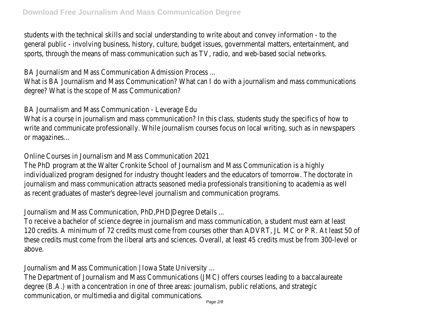students with the technical skills and social understanding to write about and convey information - to the general public - involving business, history, culture, budget issues, governmental matters, entertainment, and sports, through the means of mass communication such as TV, radio, and web-based social network

BA Journalism and Mass Communication Admission Process ...

What is BA Journalism and Mass Communication? What can I do with a journalism and mass communications degree? What is the scope of Mass Communication?

BA Journalism and Mass Communication - Leverage Edu

What is a course in journalism and mass communication? In this class, students study the specifics of how write and communicate professionally. While journalism courses focus on local writing, such as in newspaper or magazines…

Online Courses in Journalism and Mass Communication 2021

The PhD program at the Walter Cronkite School of Journalism and Mass Communication is a high individualized program designed for industry thought leaders and the educators of tomorrow. The doctora journalism and mass communication attracts seasoned media professionals transitioning to academia as w as recent graduates of master's degree-level journalism and communication program

Journalism and Mass Communication, PhD,PHD|Degree Details ...

To receive a bachelor of science degree in journalism and mass communication, a student must earn at least 120 credits. A minimum of 72 credits must come from courses other than ADVRT, JL MC or P R. At least these credits must come from the liberal arts and sciences. Overall, at least 45 credits must be from 300above.

Journalism and Mass Communication | Iowa State University .

The Department of Journalism and Mass Communications (JMC) offers courses leading to a baccalaureat degree (B.A.) with a concentration in one of three areas: journalism, public relations, and strateg communication, or multimedia and digital communications.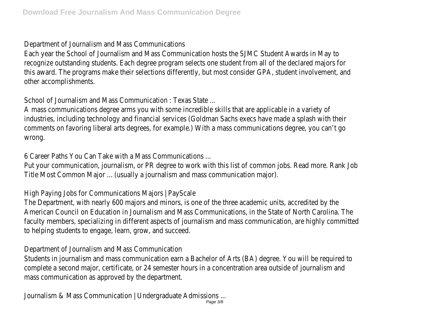Department of Journalism and Mass Communications

Each year the School of Journalism and Mass Communication hosts the SJMC Student Awards in May 1 recognize outstanding students. Each degree program selects one student from all of the declared majors this award. The programs make their selections differently, but most consider GPA, student involvement, and other accomplishments.

School of Journalism and Mass Communication : Texas State ...

A mass communications degree arms you with some incredible skills that are applicable in a variety of industries, including technology and financial services (Goldman Sachs execs have made a splash with the comments on favoring liberal arts degrees, for example.) With a mass communications degree, you can't c wrong.

6 Career Paths You Can Take with a Mass Communications ...

Put your communication, journalism, or PR degree to work with this list of common jobs. Read more. Rank Title Most Common Major ... (usually a journalism and mass communication major).

High Paying Jobs for Communications Majors | PayScale

The Department, with nearly 600 majors and minors, is one of the three academic units, accredited by the American Council on Education in Journalism and Mass Communications, in the State of North Carolina. The faculty members, specializing in different aspects of journalism and mass communication, are highly committo helping students to engage, learn, grow, and succeed

Department of Journalism and Mass Communication

Students in journalism and mass communication earn a Bachelor of Arts (BA) degree. You will be required complete a second major, certificate, or 24 semester hours in a concentration area outside of journalism mass communication as approved by the department.

Journalism & Mass Communication | Undergraduate Admissions. Page 3/8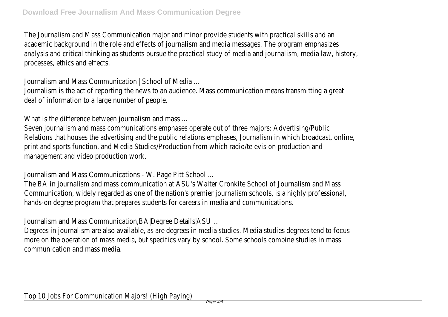The Journalism and Mass Communication major and minor provide students with practical skills and and academic background in the role and effects of journalism and media messages. The program emphasize analysis and critical thinking as students pursue the practical study of media and journalism, media law, history, hi processes, ethics and effects.

Journalism and Mass Communication | School of Media ...

Journalism is the act of reporting the news to an audience. Mass communication means transmitting a great deal of information to a large number of people.

What is the difference between journalism and mass.

Seven journalism and mass communications emphases operate out of three majors: Advertising/Publ Relations that houses the advertising and the public relations emphases, Journalism in which broadcast, on print and sports function, and Media Studies/Production from which radio/television production ar management and video production work.

Journalism and Mass Communications - W. Page Pitt School ...

The BA in journalism and mass communication at ASU's Walter Cronkite School of Journalism and Mass Communication, widely regarded as one of the nation's premier journalism schools, is a highly professional, hands-on degree program that prepares students for careers in media and communication

Journalism and Mass Communication,BA|Degree Details|ASU ...

Degrees in journalism are also available, as are degrees in media studies. Media studies degrees tend to fo more on the operation of mass media, but specifics vary by school. Some schools combine studies in mass communication and mass media.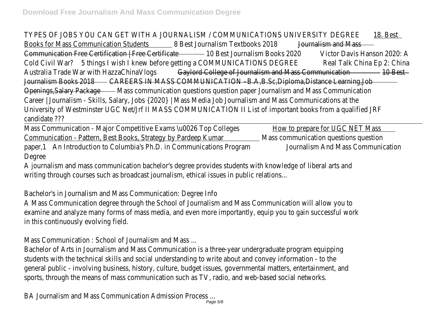TYPES OF JOBS YOU CAN GET WITH A JOURNALISM / COMMUNICATIONS UNIVERSITY DEGREEBest Books for Mass Communication Student Best Journalism Textbooks 2048 Franklism and Mass Communication Free Certification | Free CertiflicaBest Journalism Books 2020 cor Davis Hanson 2020: A Cold Civil War?5 things I wish I knew before getting a COMMUNICATIONS DREE RETAIR China Ep 2: China Australia Trade War with HazzaChinaVl@gsylord College of Journalism and Mass Communicat@rBest Journalism Books 2018AREERS IN MASS COMMUNICATION - B.A, B.Sc, Diploma, Distance Learning, Jo Openings, Salary Package Mass communication questions question paper Journalism and Mass Communication Career | Journalism - Skills, Salary, Jobs {2020} | Mass Media Job Journalism and Mass Communications at University of Westminster UGC Net/Jrf II MASS COMMUNICATION II List of important books from a qualific candidate ???

Mass Communication - Major Competitive Exams \u0026 Top **Bolledes** prepare for UGC NET Mass Communication - Pattern, Best Books, Strategy by Pardeep Mars arommunication questions question paper,1An Introduction to Columbia's Ph.D. in Communications Prodoramalism And Mass Communication Degree

A journalism and mass communication bachelor's degree provides students with knowledge of liberal arts and writing through courses such as broadcast journalism, ethical issues in public relations.

Bachelor's in Journalism and Mass Communication: Degree Info

A Mass Communication degree through the School of Journalism and Mass Communication will allow you examine and analyze many forms of mass media, and even more importantly, equip you to gain successful in this continuously evolving field.

Mass Communication : School of Journalism and Mass ...

Bachelor of Arts in Journalism and Mass Communication is a three-year undergraduate program equippir students with the technical skills and social understanding to write about and convey information - to the general public - involving business, history, culture, budget issues, governmental matters, entertainment, and sports, through the means of mass communication such as TV, radio, and web-based social network

BA Journalism and Mass Communication Admission Process ...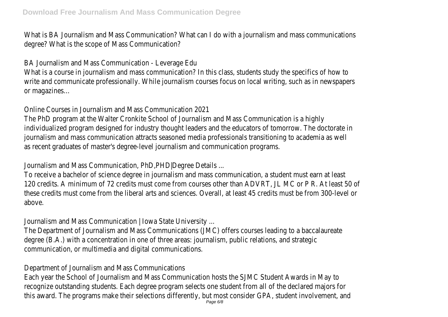What is BA Journalism and Mass Communication? What can I do with a journalism and mass communication degree? What is the scope of Mass Communication?

BA Journalism and Mass Communication - Leverage Edu

What is a course in journalism and mass communication? In this class, students study the specifics of how write and communicate professionally. While journalism courses focus on local writing, such as in newspap or magazines…

Online Courses in Journalism and Mass Communication 2021

The PhD program at the Walter Cronkite School of Journalism and Mass Communication is a high individualized program designed for industry thought leaders and the educators of tomorrow. The doctora journalism and mass communication attracts seasoned media professionals transitioning to academia as w as recent graduates of master's degree-level journalism and communication program

Journalism and Mass Communication, PhD,PHD|Degree Details ...

To receive a bachelor of science degree in journalism and mass communication, a student must earn at least 120 credits. A minimum of 72 credits must come from courses other than ADVRT, JL MC or P R. At least these credits must come from the liberal arts and sciences. Overall, at least 45 credits must be from 300above.

Journalism and Mass Communication | Iowa State University ...

The Department of Journalism and Mass Communications (JMC) offers courses leading to a baccalaureat degree (B.A.) with a concentration in one of three areas: journalism, public relations, and strateg communication, or multimedia and digital communications.

Department of Journalism and Mass Communications

Each year the School of Journalism and Mass Communication hosts the SJMC Student Awards in May recognize outstanding students. Each degree program selects one student from all of the declared majors this award. The programs make their selections differently, but most consider GPA, student involvement, and  $P_{\text{age 6/8}}$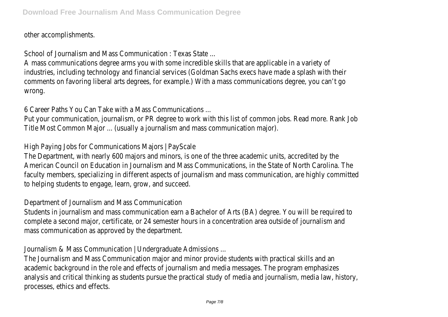other accomplishments.

School of Journalism and Mass Communication : Texas State...

A mass communications degree arms you with some incredible skills that are applicable in a variety of industries, including technology and financial services (Goldman Sachs execs have made a splash with the comments on favoring liberal arts degrees, for example.) With a mass communications degree, you can't go wrong.

6 Career Paths You Can Take with a Mass Communications ...

Put your communication, journalism, or PR degree to work with this list of common jobs. Read more. Rank Title Most Common Major ... (usually a journalism and mass communication major).

High Paying Jobs for Communications Majors | PayScale

The Department, with nearly 600 majors and minors, is one of the three academic units, accredited by the American Council on Education in Journalism and Mass Communications, in the State of North Carolina. Th faculty members, specializing in different aspects of journalism and mass communication, are highly comm to helping students to engage, learn, grow, and succeed

Department of Journalism and Mass Communication

Students in journalism and mass communication earn a Bachelor of Arts (BA) degree. You will be required complete a second major, certificate, or 24 semester hours in a concentration area outside of journalism mass communication as approved by the department.

Journalism & Mass Communication | Undergraduate Admissions.

The Journalism and Mass Communication major and minor provide students with practical skills and a academic background in the role and effects of journalism and media messages. The program emphasize analysis and critical thinking as students pursue the practical study of media and journalism, media law, hi processes, ethics and effects.